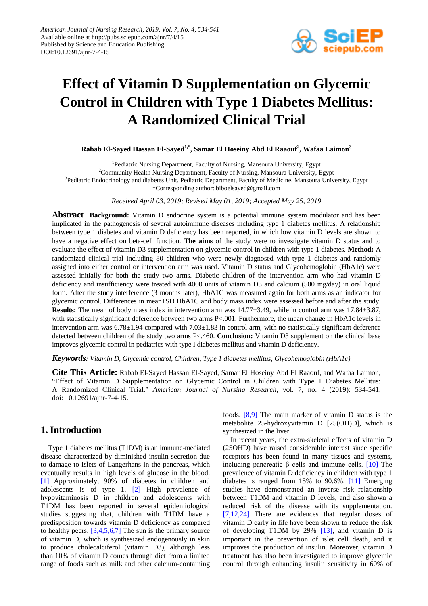

# **Effect of Vitamin D Supplementation on Glycemic Control in Children with Type 1 Diabetes Mellitus: A Randomized Clinical Trial**

**Rabab El-Sayed Hassan El-Sayed1,\*, Samar El Hoseiny Abd El Raaouf<sup>2</sup> , Wafaa Laimon<sup>3</sup>**

<sup>1</sup>Pediatric Nursing Department, Faculty of Nursing, Mansoura University, Egypt <sup>2</sup>Community Health Nursing Department, Faculty of Nursing, Mansoura University, Egypt <sup>3</sup>Pediatric Endocrinology and diabetes Unit, Pediatric Department, Faculty of Medicine, Mansoura University, Egypt \*Corresponding author: biboelsayed@gmail.com

*Received April 03, 2019; Revised May 01, 2019; Accepted May 25, 2019*

**Abstract Background:** Vitamin D endocrine system is a potential immune system modulator and has been implicated in the pathogenesis of several autoimmune diseases including type 1 diabetes mellitus. A relationship between type 1 diabetes and vitamin D deficiency has been reported, in which low vitamin D levels are shown to have a negative effect on beta-cell function. **The aims** of the study were to investigate vitamin D status and to evaluate the effect of vitamin D3 supplementation on glycemic control in children with type 1 diabetes. **Method:** A randomized clinical trial including 80 children who were newly diagnosed with type 1 diabetes and randomly assigned into either control or intervention arm was used. Vitamin D status and Glycohemoglobin (HbA1c) were assessed initially for both the study two arms. Diabetic children of the intervention arm who had vitamin D deficiency and insufficiency were treated with 4000 units of vitamin D3 and calcium (500 mg/day) in oral liquid form. After the study interference (3 months later), HbA1C was measured again for both arms as an indicator for glycemic control. Differences in mean±SD HbA1C and body mass index were assessed before and after the study. **Results:** The mean of body mass index in intervention arm was 14.77±3.49, while in control arm was 17.84±3.87, with statistically significant deference between two arms P<.001. Furthermore, the mean change in HbA1c levels in intervention arm was  $6.78\pm1.94$  compared with  $7.03\pm1.83$  in control arm, with no statistically significant deference detected between children of the study two arms P<.460. **Conclusion:** Vitamin D3 supplement on the clinical base improves glycemic control in pediatrics with type I diabetes mellitus and vitamin D deficiency.

*Keywords: Vitamin D, Glycemic control, Children, Type 1 diabetes mellitus, Glycohemoglobin (HbA1c)*

**Cite This Article:** Rabab El-Sayed Hassan El-Sayed, Samar El Hoseiny Abd El Raaouf, and Wafaa Laimon, "Effect of Vitamin D Supplementation on Glycemic Control in Children with Type 1 Diabetes Mellitus: A Randomized Clinical Trial." *American Journal of Nursing Research*, vol. 7, no. 4 (2019): 534-541. doi: 10.12691/ajnr-7-4-15.

# **1. Introduction**

Type 1 diabetes mellitus (T1DM) is an immune-mediated disease characterized by diminished insulin secretion due to damage to islets of Langerhans in the pancreas, which eventually results in high levels of glucose in the blood. [\[1\]](#page-6-0) Approximately, 90% of diabetes in children and adolescents is of type 1. [\[2\]](#page-6-1) High prevalence of hypovitaminosis D in children and adolescents with T1DM has been reported in several epidemiological studies suggesting that, children with T1DM have a predisposition towards vitamin D deficiency as compared to healthy peers.  $[3,4,5,6,7]$  The sun is the primary source of vitamin D, which is synthesized endogenously in skin to produce cholecalciferol (vitamin D3), although less than 10% of vitamin D comes through diet from a limited range of foods such as milk and other calcium-containing foods. [\[8,9\]](#page-7-0) The main marker of vitamin D status is the metabolite 25-hydroxyvitamin D [25(OH)D], which is synthesized in the liver.

In recent years, the extra-skeletal effects of vitamin D (25OHD) have raised considerable interest since specific receptors has been found in many tissues and systems, including pancreatic β cells and immune cells. [\[10\]](#page-7-1) The prevalence of vitamin D deficiency in children with type 1 diabetes is ranged from 15% to 90.6%. [\[11\]](#page-7-2) Emerging studies have demonstrated an inverse risk relationship between T1DM and vitamin D levels, and also shown a reduced risk of the disease with its supplementation. [\[7,12,24\]](#page-7-3) There are evidences that regular doses of vitamin D early in life have been shown to reduce the risk of developing T1DM by 29% [\[13\],](#page-7-4) and vitamin D is important in the prevention of islet cell death, and it improves the production of insulin. Moreover, vitamin D treatment has also been investigated to improve glycemic control through enhancing insulin sensitivity in 60% of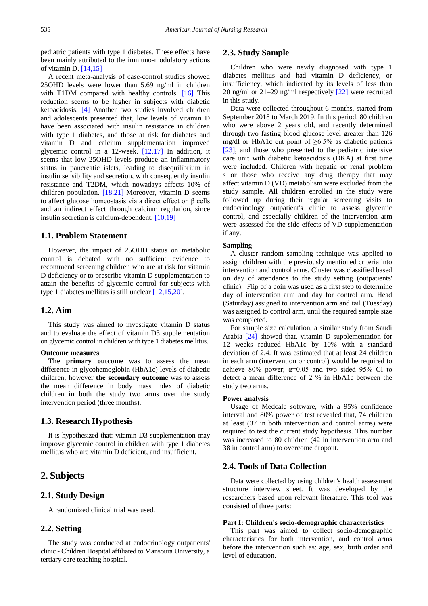pediatric patients with type 1 diabetes. These effects have been mainly attributed to the immuno-modulatory actions of vitamin D. [\[14,15\]](#page-7-5)

A recent meta-analysis of case-control studies showed 25OHD levels were lower than 5.69 ng/ml in children with T1DM compared with healthy controls. [\[16\]](#page-7-6) This reduction seems to be higher in subjects with diabetic ketoacidosis. [\[4\]](#page-6-3) Another two studies involved children and adolescents presented that, low levels of vitamin D have been associated with insulin resistance in children with type 1 diabetes, and those at risk for diabetes and vitamin D and calcium supplementation improved glycemic control in a 12-week. [\[12,17\]](#page-7-7) In addition, it seems that low 25OHD levels produce an inflammatory status in pancreatic islets, leading to disequilibrium in insulin sensibility and secretion, with consequently insulin resistance and T2DM, which nowadays affects 10% of children population. [\[18,21\]](#page-7-8) Moreover, vitamin D seems to affect glucose homeostasis via a direct effect on β cells and an indirect effect through calcium regulation, since insulin secretion is calcium-dependent. [\[10,19\]](#page-7-1)

## **1.1. Problem Statement**

However, the impact of 25OHD status on metabolic control is debated with no sufficient evidence to recommend screening children who are at risk for vitamin D deficiency or to prescribe vitamin D supplementation to attain the benefits of glycemic control for subjects with type 1 diabetes mellitus is still unclear [\[12,15,20\].](#page-7-7)

# **1.2. Aim**

This study was aimed to investigate vitamin D status and to evaluate the effect of vitamin D3 supplementation on glycemic control in children with type 1 diabetes mellitus.

#### **Outcome measures**

**The primary outcome** was to assess the mean difference in glycohemoglobin (HbA1c) levels of diabetic children; however **the secondary outcome** was to assess the mean difference in body mass index of diabetic children in both the study two arms over the study intervention period (three months).

### **1.3. Research Hypothesis**

It is hypothesized that: vitamin D3 supplementation may improve glycemic control in children with type 1 diabetes mellitus who are vitamin D deficient, and insufficient.

## **2. Subjects**

#### **2.1. Study Design**

A randomized clinical trial was used.

#### **2.2. Setting**

The study was conducted at endocrinology outpatients' clinic - Children Hospital affiliated to Mansoura University, a tertiary care teaching hospital.

### **2.3. Study Sample**

Children who were newly diagnosed with type 1 diabetes mellitus and had vitamin D deficiency, or insufficiency, which indicated by its levels of less than 20 ng/ml or 21–29 ng/ml respectively [\[22\]](#page-7-9) were recruited in this study.

Data were collected throughout 6 months, started from September 2018 to March 2019. In this period, 80 children who were above 2 years old, and recently determined through two fasting blood glucose level greater than 126 mg/dl or HbA1c cut point of  $\geq 6.5\%$  as diabetic patients [\[23\],](#page-7-10) and those who presented to the pediatric intensive care unit with diabetic ketoacidosis (DKA) at first time were included. Children with hepatic or renal problem s or those who receive any drug therapy that may affect vitamin D (VD) metabolism were excluded from the study sample. All children enrolled in the study were followed up during their regular screening visits to endocrinology outpatient's clinic to assess glycemic control, and especially children of the intervention arm were assessed for the side effects of VD supplementation if any.

#### **Sampling**

A cluster random sampling technique was applied to assign children with the previously mentioned criteria into intervention and control arms. Cluster was classified based on day of attendance to the study setting (outpatients' clinic). Flip of a coin was used as a first step to determine day of intervention arm and day for control arm. Head (Saturday) assigned to intervention arm and tail (Tuesday) was assigned to control arm, until the required sample size was completed.

For sample size calculation, a similar study from Saudi Arabia [\[24\]](#page-7-11) showed that, vitamin D supplementation for 12 weeks reduced HbA1c by 10% with a standard deviation of 2.4. It was estimated that at least 24 children in each arm (intervention or control) would be required to achieve 80% power;  $\alpha=0.05$  and two sided 95% CI to detect a mean difference of 2 % in HbA1c between the study two arms.

#### **Power analysis**

Usage of Medcalc software, with a 95% confidence interval and 80% power of test revealed that, 74 children at least (37 in both intervention and control arms) were required to test the current study hypothesis. This number was increased to 80 children (42 in intervention arm and 38 in control arm) to overcome dropout.

#### **2.4. Tools of Data Collection**

Data were collected by using children's health assessment structure interview sheet. It was developed by the researchers based upon relevant literature. This tool was consisted of three parts:

#### **Part I: Children's socio-demographic characteristics**

This part was aimed to collect socio-demographic characteristics for both intervention, and control arms before the intervention such as: age, sex, birth order and level of education.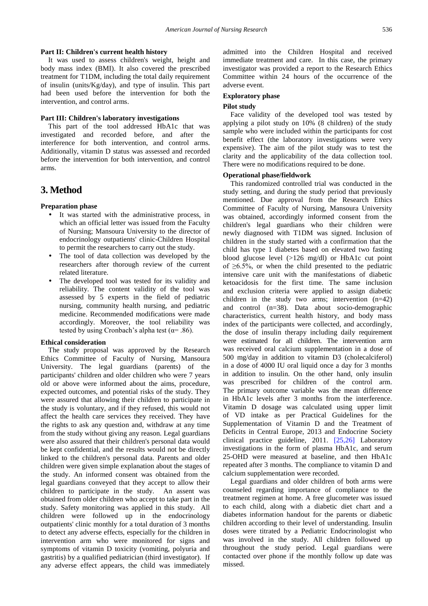#### **Part II: Children's current health history**

It was used to assess children's weight, height and body mass index (BMI). It also covered the prescribed treatment for T1DM, including the total daily requirement of insulin (units/Kg/day), and type of insulin. This part had been used before the intervention for both the intervention, and control arms.

#### **Part III: Children's laboratory investigations**

This part of the tool addressed HbA1c that was investigated and recorded before, and after the interference for both intervention, and control arms. Additionally, vitamin D status was assessed and recorded before the intervention for both intervention, and control arms.

# **3. Method**

#### **Preparation phase**

- It was started with the administrative process, in which an official letter was issued from the Faculty of Nursing; Mansoura University to the director of endocrinology outpatients' clinic-Children Hospital to permit the researchers to carry out the study.
- The tool of data collection was developed by the researchers after thorough review of the current related literature.
- The developed tool was tested for its validity and reliability. The content validity of the tool was assessed by 5 experts in the field of pediatric nursing, community health nursing, and pediatric medicine. Recommended modifications were made accordingly. Moreover, the tool reliability was tested by using Cronbach's alpha test ( $\alpha$ = .86).

#### **Ethical consideration**

The study proposal was approved by the Research Ethics Committee of Faculty of Nursing, Mansoura University. The legal guardians (parents) of the participants' children and older children who were 7 years old or above were informed about the aims, procedure, expected outcomes, and potential risks of the study. They were assured that allowing their children to participate in the study is voluntary, and if they refused, this would not affect the health care services they received. They have the rights to ask any question and, withdraw at any time from the study without giving any reason. Legal guardians were also assured that their children's personal data would be kept confidential, and the results would not be directly linked to the children's personal data. Parents and older children were given simple explanation about the stages of the study. An informed consent was obtained from the legal guardians conveyed that they accept to allow their children to participate in the study. An assent was obtained from older children who accept to take part in the study. Safety monitoring was applied in this study. All children were followed up in the endocrinology outpatients' clinic monthly for a total duration of 3 months to detect any adverse effects, especially for the children in intervention arm who were monitored for signs and symptoms of vitamin D toxicity (vomiting, polyuria and gastritis) by a qualified pediatrician (third investigator). If any adverse effect appears, the child was immediately admitted into the Children Hospital and received immediate treatment and care. In this case, the primary investigator was provided a report to the Research Ethics Committee within 24 hours of the occurrence of the adverse event.

#### **Exploratory phase**

#### **Pilot study**

Face validity of the developed tool was tested by applying a pilot study on 10% (8 children) of the study sample who were included within the participants for cost benefit effect (the laboratory investigations were very expensive). The aim of the pilot study was to test the clarity and the applicability of the data collection tool. There were no modifications required to be done.

#### **Operational phase/fieldwork**

This randomized controlled trial was conducted in the study setting, and during the study period that previously mentioned. Due approval from the Research Ethics Committee of Faculty of Nursing, Mansoura University was obtained, accordingly informed consent from the children's legal guardians who their children were newly diagnosed with T1DM was signed. Inclusion of children in the study started with a confirmation that the child has type 1 diabetes based on elevated two fasting blood glucose level (>126 mg/dl) or HbA1c cut point of  $\geq 6.5\%$ , or when the child presented to the pediatric intensive care unit with the manifestations of diabetic ketoacidosis for the first time. The same inclusion and exclusion criteria were applied to assign diabetic children in the study two arms; intervention (n=42) and control (n=38). Data about socio-demographic characteristics, current health history, and body mass index of the participants were collected, and accordingly, the dose of insulin therapy including daily requirement were estimated for all children. The intervention arm was received oral calcium supplementation in a dose of 500 mg/day in addition to vitamin D3 (cholecalciferol) in a dose of 4000 IU oral liquid once a day for 3 months in addition to insulin. On the other hand, only insulin was prescribed for children of the control arm. The primary outcome variable was the mean difference in HbA1c levels after 3 months from the interference. Vitamin D dosage was calculated using upper limit of VD intake as per Practical Guidelines for the Supplementation of Vitamin D and the Treatment of Deficits in Central Europe, 2013 and Endocrine Society clinical practice guideline, 2011. [\[25,26\]](#page-7-12) Laboratory investigations in the form of plasma HbA1c, and serum 25-OHD were measured at baseline, and then HbA1c repeated after 3 months. The compliance to vitamin D and calcium supplementation were recorded.

Legal guardians and older children of both arms were counseled regarding importance of compliance to the treatment regimen at home. A free glucometer was issued to each child, along with a diabetic diet chart and a diabetes information handout for the parents or diabetic children according to their level of understanding. Insulin doses were titrated by a Pediatric Endocrinologist who was involved in the study. All children followed up throughout the study period. Legal guardians were contacted over phone if the monthly follow up date was missed.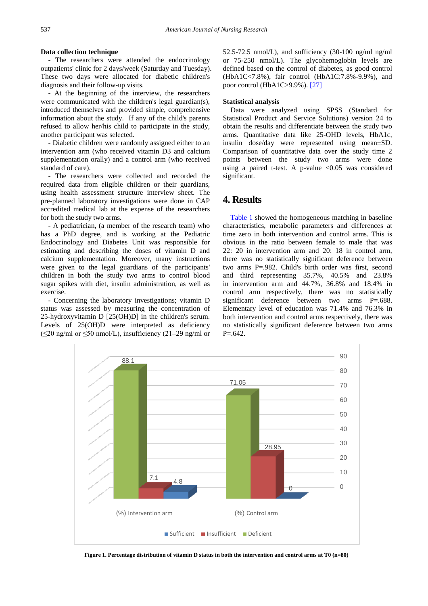#### **Data collection technique**

- The researchers were attended the endocrinology outpatients' clinic for 2 days/week (Saturday and Tuesday). These two days were allocated for diabetic children's diagnosis and their follow-up visits.

- At the beginning of the interview, the researchers were communicated with the children's legal guardian(s), introduced themselves and provided simple, comprehensive information about the study. If any of the child's parents refused to allow her/his child to participate in the study, another participant was selected.

- Diabetic children were randomly assigned either to an intervention arm (who received vitamin D3 and calcium supplementation orally) and a control arm (who received standard of care).

- The researchers were collected and recorded the required data from eligible children or their guardians, using health assessment structure interview sheet. The pre-planned laboratory investigations were done in CAP accredited medical lab at the expense of the researchers for both the study two arms.

- A pediatrician, (a member of the research team) who has a PhD degree, and is working at the Pediatric Endocrinology and Diabetes Unit was responsible for estimating and describing the doses of vitamin D and calcium supplementation. Moreover, many instructions were given to the legal guardians of the participants' children in both the study two arms to control blood sugar spikes with diet, insulin administration, as well as exercise.

- Concerning the laboratory investigations; vitamin D status was assessed by measuring the concentration of 25-hydroxyvitamin D [25(OH)D] in the children's serum. Levels of 25(OH)D were interpreted as deficiency  $(\leq 20 \text{ ng/ml or } \leq 50 \text{ nmol/L})$ , insufficiency (21–29 ng/ml or 52.5-72.5 nmol/L), and sufficiency (30-100 ng/ml ng/ml or 75-250 nmol/L). The glycohemoglobin levels are defined based on the control of diabetes, as good control (HbA1C<7.8%), fair control (HbA1C:7.8%-9.9%), and poor control (HbA1C>9.9%). [\[27\]](#page-7-13)

#### **Statistical analysis**

Data were analyzed using SPSS (Standard for Statistical Product and Service Solutions) version 24 to obtain the results and differentiate between the study two arms. Quantitative data like 25-OHD levels, HbA1c, insulin dose/day were represented using mean±SD. Comparison of quantitative data over the study time 2 points between the study two arms were done using a paired t-test. A p-value  $\langle 0.05 \rangle$  was considered significant.

# **4. Results**

[Table 1](#page-4-0) showed the homogeneous matching in baseline characteristics, metabolic parameters and differences at time zero in both intervention and control arms. This is obvious in the ratio between female to male that was 22: 20 in intervention arm and 20: 18 in control arm, there was no statistically significant deference between two arms P=.982. Child's birth order was first, second and third representing 35.7%, 40.5% and 23.8% in intervention arm and 44.7%, 36.8% and 18.4% in control arm respectively, there was no statistically significant deference between two arms P=.688. Elementary level of education was 71.4% and 76.3% in both intervention and control arms respectively, there was no statistically significant deference between two arms P=.642.

<span id="page-3-0"></span>

**Figure 1. Percentage distribution of vitamin D status in both the intervention and control arms at T0 (n=80)**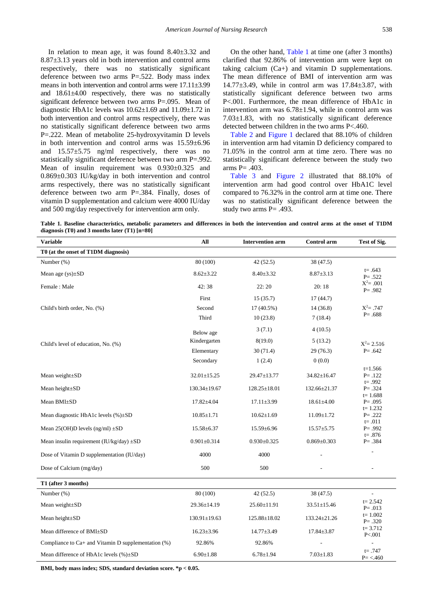In relation to mean age, it was found 8.40±3.32 and 8.87±3.13 years old in both intervention and control arms respectively, there was no statistically significant deference between two arms P=.522. Body mass index means in both intervention and control arms were 17.11±3.99 and 18.61±4.00 respectively, there was no statistically significant deference between two arms P=.095. Mean of diagnostic HbA1c levels was 10.62±1.69 and 11.09±1.72 in both intervention and control arms respectively, there was no statistically significant deference between two arms P=.222. Mean of metabolite 25-hydroxyvitamin D levels in both intervention and control arms was 15.59±6.96 and 15.57±5.75 ng/ml respectively, there was no statistically significant deference between two arm P=.992. Mean of insulin requirement was  $0.930 \pm 0.325$  and 0.869±0.303 IU/kg/day in both intervention and control arms respectively, there was no statistically significant deference between two arm P=.384. Finally, doses of vitamin D supplementation and calcium were 4000 IU/day and 500 mg/day respectively for intervention arm only.

On the other hand, [Table 1](#page-4-0) at time one (after 3 months) clarified that 92.86% of intervention arm were kept on taking calcium (Ca+) and vitamin D supplementations. The mean difference of BMI of intervention arm was 14.77±3.49, while in control arm was 17.84±3.87, with statistically significant deference between two arms P<.001. Furthermore, the mean difference of HbA1c in intervention arm was 6.78±1.94, while in control arm was 7.03±1.83, with no statistically significant deference detected between children in the two arms P<.460.

[Table 2](#page-5-0) and [Figure 1](#page-3-0) declared that 88.10% of children in intervention arm had vitamin D deficiency compared to 71.05% in the control arm at time zero. There was no statistically significant deference between the study two arms P= .403.

[Table 3](#page-5-1) and [Figure 2](#page-5-2) illustrated that 88.10% of intervention arm had good control over HbA1C level compared to 76.32% in the control arm at time one. There was no statistically significant deference between the study two arms P= .493.

**Table 1. Baseline characteristics, metabolic parameters and differences in both the intervention and control arms at the onset of T1DM diagnosis (T0) and 3 months later (T1) [n=80]**

<span id="page-4-0"></span>

| <b>Variable</b>                                          | All                | <b>Intervention arm</b> | Control arm       | Test of Sig.                             |
|----------------------------------------------------------|--------------------|-------------------------|-------------------|------------------------------------------|
| T0 (at the onset of T1DM diagnosis)                      |                    |                         |                   |                                          |
| Number (%)                                               | 80 (100)           | 42(52.5)                | 38 (47.5)         |                                          |
| Mean age $(ys) \pm SD$                                   | $8.62 \pm 3.22$    | $8.40 \pm 3.32$         | $8.87 \pm 3.13$   | $t = .643$<br>$P = .522$                 |
| Female: Male                                             | 42:38              | 22:20                   | 20:18             | $X^2 = .001$<br>$P = .982$               |
|                                                          | First              | 15(35.7)                | 17(44.7)          |                                          |
| Child's birth order, No. (%)                             | Second             | 17 (40.5%)              | 14(36.8)          | $X^2 = .747$                             |
|                                                          | Third              | 10(23.8)                | 7(18.4)           | $P = .688$                               |
|                                                          | Below age          | 3(7.1)                  | 4(10.5)           |                                          |
| Child's level of education, No. (%)                      | Kindergarten       | 8(19.0)                 | 5(13.2)           | $X^2 = 2.516$                            |
|                                                          | Elementary         | 30(71.4)                | 29(76.3)          | $P = .642$                               |
|                                                          | Secondary          | 1(2.4)                  | 0(0.0)            |                                          |
| Mean weight±SD                                           | $32.01 \pm 15.25$  | 29.47±13.77             | 34.82±16.47       | $t=1.566$<br>$P = .122$<br>$t = .992$    |
| Mean height $\pm SD$                                     | $130.34 \pm 19.67$ | $128.25 \pm 18.01$      | 132.66±21.37      | $P = .324$                               |
| Mean BMI±SD                                              | $17.82{\pm}4.04$   | $17.11 \pm 3.99$        | $18.61 \pm 4.00$  | $t = 1.688$<br>$P = .095$<br>$t = 1.232$ |
| Mean diagnostic HbA1c levels $(\%)\pm SD$                | $10.85 \pm 1.71$   | $10.62 \pm 1.69$        | $11.09 \pm 1.72$  | $P = .222$<br>$t = .011$                 |
| Mean $25(OH)D$ levels (ng/ml) $\pm SD$                   | 15.58±6.37         | $15.59 \pm 6.96$        | $15.57 + 5.75$    | $P = .992$<br>$t = .876$                 |
| Mean insulin requirement ( $IU/kg/day$ ) $\pm SD$        | $0.901 \pm 0.314$  | $0.930+0.325$           | $0.869 \pm 0.303$ | $P = .384$                               |
| Dose of Vitamin D supplementation (IU/day)               | 4000               | 4000                    |                   |                                          |
| Dose of Calcium (mg/day)                                 | 500                | 500                     |                   |                                          |
| T1 (after 3 months)                                      |                    |                         |                   |                                          |
| Number (%)                                               | 80 (100)           | 42(52.5)                | 38 (47.5)         |                                          |
| Mean weight±SD                                           | 29.36±14.19        | $25.60 \pm 11.91$       | $33.51 \pm 15.46$ | $t = 2.542$<br>$P = .013$                |
| Mean height±SD                                           | $130.91 \pm 19.63$ | 125.88±18.02            | 133.24±21.26      | $t = 1.002$<br>$P = .320$                |
| Mean difference of BMI±SD                                | $16.23 \pm 3.96$   | $14.77 \pm 3.49$        | $17.84 \pm 3.87$  | $t = 3.712$<br>P < 001                   |
| Compliance to $Ca+$ and Vitamin D supplementation $(\%)$ | 92.86%             | 92.86%                  |                   |                                          |
| Mean difference of HbA1c levels (%)±SD                   | $6.90 \pm 1.88$    | $6.78 \pm 1.94$         | $7.03 \pm 1.83$   | $t = .747$<br>$P = < 460$                |

**BMI, body mass index; SDS, standard deviation score. \*p < 0.05.**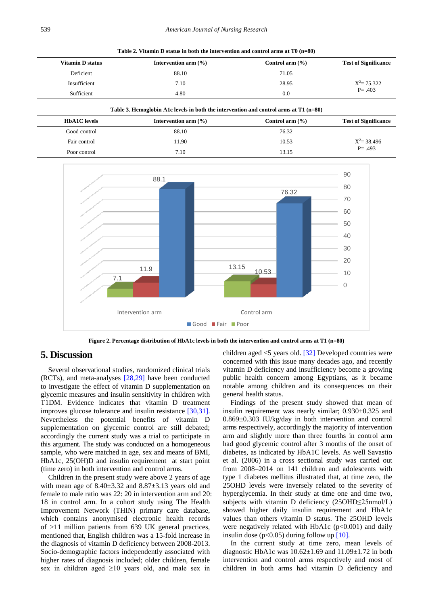**Table 2. Vitamin D status in both the intervention and control arms at T0 (n=80)**

<span id="page-5-0"></span>

| Vitamin D status | Intervention arm $(\% )$ | Control arm $(\% )$ | <b>Test of Significance</b> |  |
|------------------|--------------------------|---------------------|-----------------------------|--|
| Deficient        | 88.10                    | 71.05               |                             |  |
| Insufficient     | 7.10                     | 28.95               | $X^2 = 75.322$              |  |
| Sufficient       | 4.80                     | 0.0                 | $P = .403$                  |  |

|  |  | Table 3. Hemoglobin A1c levels in both the intervention and control arms at T1 (n=80) |  |  |
|--|--|---------------------------------------------------------------------------------------|--|--|
|  |  |                                                                                       |  |  |

<span id="page-5-1"></span>

| <b>HbA1C</b> levels | Intervention arm $(\% )$ | Control arm $(\% )$ | <b>Test of Significance</b> |  |
|---------------------|--------------------------|---------------------|-----------------------------|--|
| Good control        | 88.10                    | 76.32               |                             |  |
| Fair control        | 11.90                    | 10.53               | $X^2 = 38.496$              |  |
| Poor control        | 7.10                     | 13.15               | $P = .493$                  |  |

<span id="page-5-2"></span>

**Figure 2. Percentage distribution of HbA1c levels in both the intervention and control arms at T1 (n=80)**

# **5. Discussion**

Several observational studies, randomized clinical trials (RCTs), and meta-analyses [\[28,29\]](#page-7-14) have been conducted to investigate the effect of vitamin D supplementation on glycemic measures and insulin sensitivity in children with T1DM. Evidence indicates that vitamin D treatment improves glucose tolerance and insulin resistance [\[30,31\].](#page-7-15) Nevertheless the potential benefits of vitamin D supplementation on glycemic control are still debated; accordingly the current study was a trial to participate in this argument. The study was conducted on a homogeneous sample, who were matched in age, sex and means of BMI, HbA1c, 25(OH)D and insulin requirement at start point (time zero) in both intervention and control arms.

Children in the present study were above 2 years of age with mean age of  $8.40\pm3.32$  and  $8.87\pm3.13$  years old and female to male ratio was 22: 20 in intervention arm and 20: 18 in control arm. In a cohort study using The Health Improvement Network (THIN) primary care database, which contains anonymised electronic health records of >11 million patients from 639 UK general practices, mentioned that, English children was a 15-fold increase in the diagnosis of vitamin D deficiency between 2008-2013. Socio-demographic factors independently associated with higher rates of diagnosis included; older children, female sex in children aged  $\geq 10$  years old, and male sex in

children aged <5 years old. [\[32\]](#page-7-16) Developed countries were concerned with this issue many decades ago, and recently vitamin D deficiency and insufficiency become a growing public health concern among Egyptians, as it became notable among children and its consequences on their general health status.

Findings of the present study showed that mean of insulin requirement was nearly similar; 0.930±0.325 and 0.869±0.303 IU/kg/day in both intervention and control arms respectively, accordingly the majority of intervention arm and slightly more than three fourths in control arm had good glycemic control after 3 months of the onset of diabetes, as indicated by HbA1C levels. As well Savastio et al. (2006) in a cross sectional study was carried out from 2008–2014 on 141 children and adolescents with type 1 diabetes mellitus illustrated that, at time zero, the 25OHD levels were inversely related to the severity of hyperglycemia. In their study at time one and time two, subjects with vitamin D deficiency (25OHD≤25nmol/L) showed higher daily insulin requirement and HbA1c values than others vitamin D status. The 25OHD levels were negatively related with HbA1c  $(p<0.001)$  and daily insulin dose ( $p<0.05$ ) during follow up [10].

In the current study at time zero, mean levels of diagnostic HbA1c was  $10.62 \pm 1.69$  and  $11.09 \pm 1.72$  in both intervention and control arms respectively and most of children in both arms had vitamin D deficiency and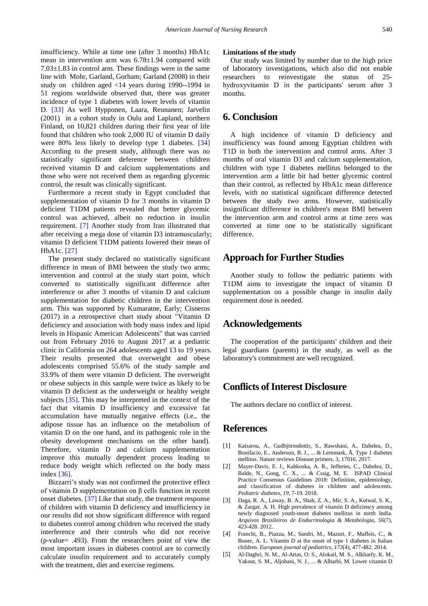insufficiency. While at time one (after 3 months) HbA1c mean in intervention arm was 6.78±1.94 compared with 7.03±1.83 in control arm. These findings were in the same line with Mohr, Garland, Gorham; Garland (2008) in their study on children aged <14 years during 1990--1994 in 51 regions worldwide observed that, there was greater incidence of type 1 diabetes with lower levels of vitamin D. [\[33\]](#page-7-17) As well Hypponen, Laara, Reunanen; Jarvelin (2001) in a cohort study in Oulu and Lapland, northern Finland, on 10,821 children during their first year of life found that children who took 2,000 IU of vitamin D daily were 80% less likely to develop type 1 diabetes. [\[34\]](#page-7-18) According to the present study, although there was no statistically significant deference between children received vitamin D and calcium supplementations and those who were not received them as regarding glycemic control, the result was clinically significant.

Furthermore a recent study in Egypt concluded that supplementation of vitamin D for 3 months in vitamin D deficient T1DM patients revealed that better glycemic control was achieved, albeit no reduction in insulin requirement. [\[7\]](#page-7-3) Another study from Iran illustrated that after receiving a mega dose of vitamin D3 intramuscularly; vitamin D deficient T1DM patients lowered their mean of HbA1c. [\[27\]](#page-7-13)

The present study declared no statistically significant difference in mean of BMI between the study two arms; intervention and control at the study start point, which converted to statistically significant difference after interference or after 3 months of vitamin D and calcium supplementation for diabetic children in the intervention arm. This was supported by Kumaratne, Early; Cisneros (2017) in a retrospective chart study about "Vitamin D deficiency and association with body mass index and lipid levels in Hispanic American Adolescents" that was carried out from February 2016 to August 2017 at a pediatric clinic in California on 264 adolescents aged 13 to 19 years. Their results presented that overweight and obese adolescents comprised 55.6% of the study sample and 33.9% of them were vitamin D deficient. The overweight or obese subjects in this sample were twice as likely to be vitamin D deficient as the underweight or healthy weight subjects [\[35\].](#page-7-19) This may be interpreted in the context of the fact that vitamin D insufficiency and excessive fat accumulation have mutually negative effects (i.e., the adipose tissue has an influence on the metabolism of vitamin D on the one hand, and its pathogenic role in the obesity development mechanisms on the other hand). Therefore, vitamin D and calcium supplementation improve this mutually dependent process leading to reduce body weight which reflected on the body mass index [\[36\].](#page-7-20)

Bizzarri's study was not confirmed the protective effect of vitamin D supplementation on β cells function in recent onset diabetes. [\[37\]](#page-7-21) Like that study, the treatment response of children with vitamin D deficiency and insufficiency in our results did not show significant difference with regard to diabetes control among children who received the study interference and their controls who did not receive (p-value= .493). From the researchers point of view the most important issues in diabetes control are to correctly calculate insulin requirement and to accurately comply with the treatment, diet and exercise regimens.

#### **Limitations of the study**

Our study was limited by number due to the high price of laboratory investigations, which also did not enable researchers to reinvestigate the status of 25 hydroxyvitamin D in the participants' serum after 3 months.

# **6. Conclusion**

A high incidence of vitamin D deficiency and insufficiency was found among Egyptian children with T1D in both the intervention and control arms. After 3 months of oral vitamin D3 and calcium supplementation, children with type 1 diabetes mellitus belonged to the intervention arm a little bit had better glycemic control than their control, as reflected by HbA1c mean difference levels, with no statistical significant difference detected between the study two arms. However, statistically insignificant difference in children's mean BMI between the intervention arm and control arms at time zero was converted at time one to be statistically significant difference.

## **Approach for Further Studies**

Another study to follow the pediatric patients with T1DM aims to investigate the impact of vitamin D supplementation on a possible change in insulin daily requirement dose is needed.

# **Acknowledgements**

The cooperation of the participants' children and their legal guardians (parents) in the study, as well as the laboratory's commitment are well recognized.

# **Conflicts of Interest Disclosure**

The authors declare no conflict of interest.

# **References**

- <span id="page-6-0"></span>[1] Katsarou, A., Gudbjörnsdottir, S., Rawshani, A., Dabelea, D., Bonifacio, E., Anderson, B. J., ... & Lernmark, Å. Type 1 diabetes mellitus. Nature reviews Disease primers, 3, 17016. 2017.
- <span id="page-6-1"></span>[2] Mayer-Davis, E. J., Kahkoska, A. R., Jefferies, C., Dabelea, D., Balde, N., Gong, C. X., ... & Craig, M. E. ISPAD Clinical Practice Consensus Guidelines 2018: Definition, epidemiology, and classification of diabetes in children and adolescents. *Pediatric diabetes*, *19*, 7-19. 2018.
- <span id="page-6-2"></span>[3] Daga, R. A., Laway, B. A., Shah, Z. A., Mir, S. A., Kotwal, S. K., & Zargar, A. H. High prevalence of vitamin D deficiency among newly diagnosed youth-onset diabetes mellitus in north India. *Arquivos Brasileiros de Endocrinologia & Metabologia*, *56*(7), 423-428. 2012.
- <span id="page-6-3"></span>[4] Franchi, B., Piazza, M., Sandri, M., Mazzei, F., Maffeis, C., & Boner, A. L. Vitamin D at the onset of type 1 diabetes in Italian children. *European journal of pediatrics*, *173*(4), 477-482. 2014.
- [5] Al-Daghri, N. M., Al-Attas, O. S., Alokail, M. S., Alkharfy, K. M., Yakout, S. M., Aljohani, N. J., ... & Alharbi, M. Lower vitamin D